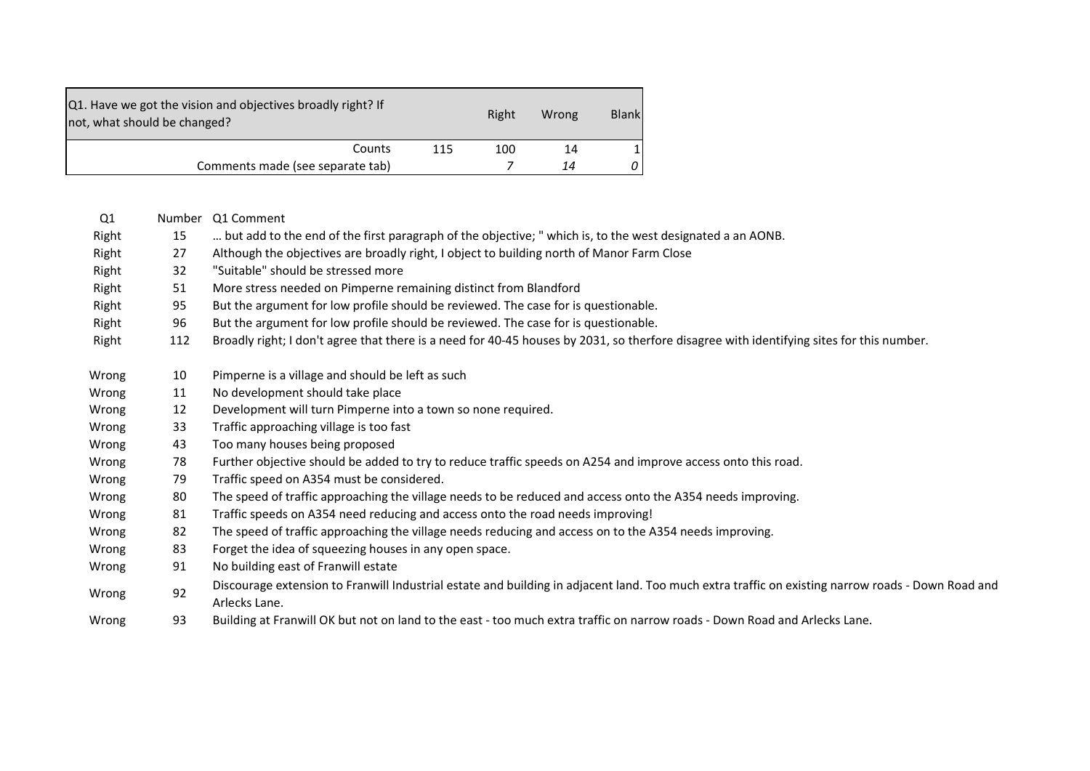| Q1. Have we got the vision and objectives broadly right? If<br>not, what should be changed? |     | Right | Wrong | <b>Blank</b> |
|---------------------------------------------------------------------------------------------|-----|-------|-------|--------------|
| Counts                                                                                      | 115 | 100   | 14    |              |
| Comments made (see separate tab)                                                            |     |       | 14    | 0            |

| Q1    | Number | Q1 Comment                                                                                                                                                         |
|-------|--------|--------------------------------------------------------------------------------------------------------------------------------------------------------------------|
| Right | 15     | but add to the end of the first paragraph of the objective; " which is, to the west designated a an AONB.                                                          |
| Right | 27     | Although the objectives are broadly right, I object to building north of Manor Farm Close                                                                          |
| Right | 32     | "Suitable" should be stressed more                                                                                                                                 |
| Right | 51     | More stress needed on Pimperne remaining distinct from Blandford                                                                                                   |
| Right | 95     | But the argument for low profile should be reviewed. The case for is questionable.                                                                                 |
| Right | 96     | But the argument for low profile should be reviewed. The case for is questionable.                                                                                 |
| Right | 112    | Broadly right; I don't agree that there is a need for 40-45 houses by 2031, so therfore disagree with identifying sites for this number.                           |
| Wrong | 10     | Pimperne is a village and should be left as such                                                                                                                   |
| Wrong | 11     | No development should take place                                                                                                                                   |
| Wrong | 12     | Development will turn Pimperne into a town so none required.                                                                                                       |
| Wrong | 33     | Traffic approaching village is too fast                                                                                                                            |
| Wrong | 43     | Too many houses being proposed                                                                                                                                     |
| Wrong | 78     | Further objective should be added to try to reduce traffic speeds on A254 and improve access onto this road.                                                       |
| Wrong | 79     | Traffic speed on A354 must be considered.                                                                                                                          |
| Wrong | 80     | The speed of traffic approaching the village needs to be reduced and access onto the A354 needs improving.                                                         |
| Wrong | 81     | Traffic speeds on A354 need reducing and access onto the road needs improving!                                                                                     |
| Wrong | 82     | The speed of traffic approaching the village needs reducing and access on to the A354 needs improving.                                                             |
| Wrong | 83     | Forget the idea of squeezing houses in any open space.                                                                                                             |
| Wrong | 91     | No building east of Franwill estate                                                                                                                                |
| Wrong | 92     | Discourage extension to Franwill Industrial estate and building in adjacent land. Too much extra traffic on existing narrow roads - Down Road and<br>Arlecks Lane. |
| Wrong | 93     | Building at Franwill OK but not on land to the east - too much extra traffic on narrow roads - Down Road and Arlecks Lane.                                         |
|       |        |                                                                                                                                                                    |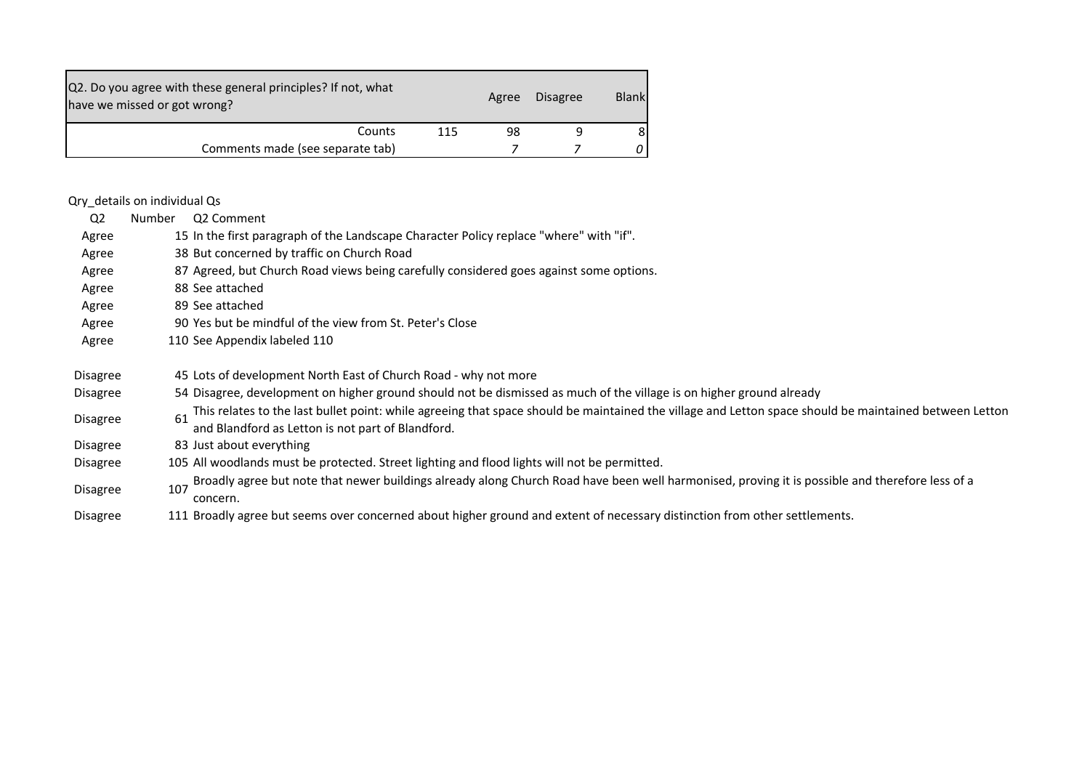| Q2. Do you agree with these general principles? If not, what<br>have we missed or got wrong? |     | Agree | <b>Disagree</b> | <b>Blank</b> |
|----------------------------------------------------------------------------------------------|-----|-------|-----------------|--------------|
| Counts                                                                                       | 115 | 98    |                 |              |
| Comments made (see separate tab)                                                             |     |       |                 |              |

## Qry\_details on individual Qs

| Q <sub>2</sub>  | Number | Q2 Comment                                                                                                                                                                                                  |
|-----------------|--------|-------------------------------------------------------------------------------------------------------------------------------------------------------------------------------------------------------------|
| Agree           |        | 15 In the first paragraph of the Landscape Character Policy replace "where" with "if".                                                                                                                      |
| Agree           |        | 38 But concerned by traffic on Church Road                                                                                                                                                                  |
| Agree           |        | 87 Agreed, but Church Road views being carefully considered goes against some options.                                                                                                                      |
| Agree           |        | 88 See attached                                                                                                                                                                                             |
| Agree           |        | 89 See attached                                                                                                                                                                                             |
| Agree           |        | 90 Yes but be mindful of the view from St. Peter's Close                                                                                                                                                    |
| Agree           |        | 110 See Appendix labeled 110                                                                                                                                                                                |
| Disagree        |        | 45 Lots of development North East of Church Road - why not more                                                                                                                                             |
| Disagree        |        | 54 Disagree, development on higher ground should not be dismissed as much of the village is on higher ground already                                                                                        |
| Disagree        | 61     | This relates to the last bullet point: while agreeing that space should be maintained the village and Letton space should be maintained between Letton<br>and Blandford as Letton is not part of Blandford. |
| <b>Disagree</b> |        | 83 Just about everything                                                                                                                                                                                    |
| Disagree        |        | 105 All woodlands must be protected. Street lighting and flood lights will not be permitted.                                                                                                                |
| Disagree        | 107    | Broadly agree but note that newer buildings already along Church Road have been well harmonised, proving it is possible and therefore less of a<br>concern.                                                 |
| Disagree        |        | 111 Broadly agree but seems over concerned about higher ground and extent of necessary distinction from other settlements.                                                                                  |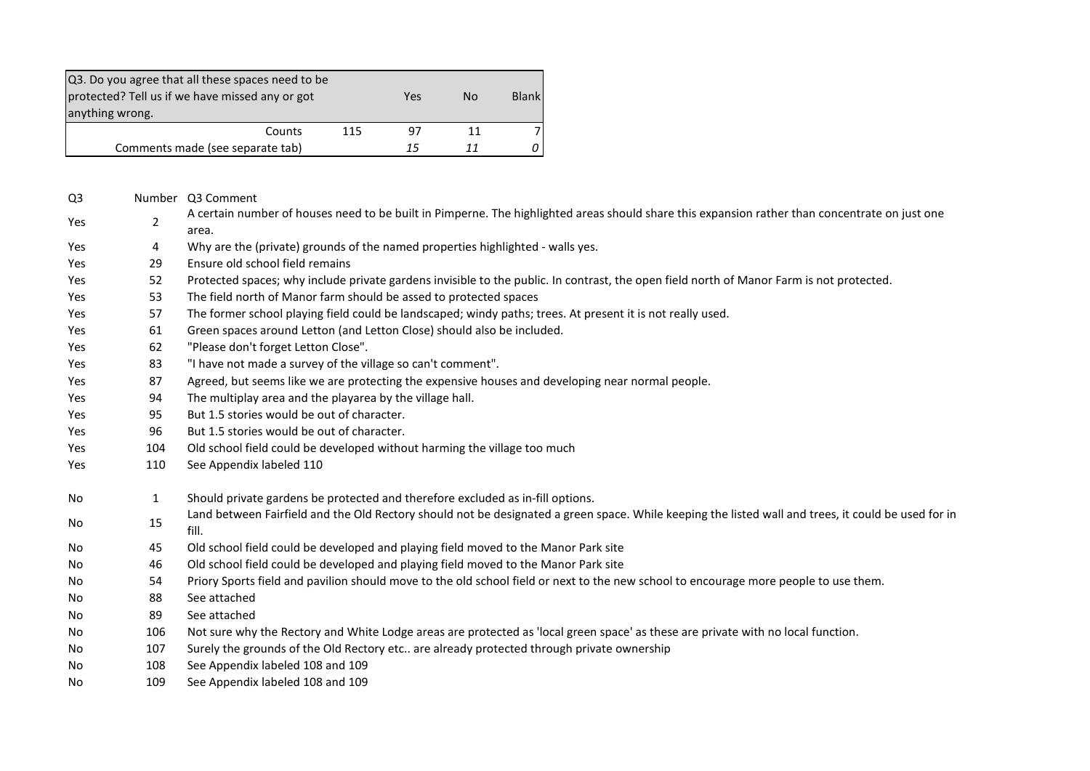| Q3. Do you agree that all these spaces need to be<br>protected? Tell us if we have missed any or got<br>anything wrong. |    | Yes | Nο | Blank |
|-------------------------------------------------------------------------------------------------------------------------|----|-----|----|-------|
| Counts                                                                                                                  | 97 | 11  |    |       |
| Comments made (see separate tab)                                                                                        | 15 |     | n  |       |

| Q <sub>3</sub> |                | Number Q3 Comment                                                                                                                                            |
|----------------|----------------|--------------------------------------------------------------------------------------------------------------------------------------------------------------|
| Yes            | $\overline{2}$ | A certain number of houses need to be built in Pimperne. The highlighted areas should share this expansion rather than concentrate on just one<br>area.      |
| Yes            | 4              | Why are the (private) grounds of the named properties highlighted - walls yes.                                                                               |
| Yes            | 29             | Ensure old school field remains                                                                                                                              |
| Yes            | 52             | Protected spaces; why include private gardens invisible to the public. In contrast, the open field north of Manor Farm is not protected.                     |
| Yes            | 53             | The field north of Manor farm should be assed to protected spaces                                                                                            |
| Yes            | 57             | The former school playing field could be landscaped; windy paths; trees. At present it is not really used.                                                   |
| Yes            | 61             | Green spaces around Letton (and Letton Close) should also be included.                                                                                       |
| Yes            | 62             | "Please don't forget Letton Close".                                                                                                                          |
| Yes            | 83             | "I have not made a survey of the village so can't comment".                                                                                                  |
| Yes            | 87             | Agreed, but seems like we are protecting the expensive houses and developing near normal people.                                                             |
| Yes            | 94             | The multiplay area and the playarea by the village hall.                                                                                                     |
| Yes            | 95             | But 1.5 stories would be out of character.                                                                                                                   |
| Yes            | 96             | But 1.5 stories would be out of character.                                                                                                                   |
| Yes            | 104            | Old school field could be developed without harming the village too much                                                                                     |
| Yes            | 110            | See Appendix labeled 110                                                                                                                                     |
| No             | $\mathbf{1}$   | Should private gardens be protected and therefore excluded as in-fill options.                                                                               |
| No             | 15             | Land between Fairfield and the Old Rectory should not be designated a green space. While keeping the listed wall and trees, it could be used for in<br>fill. |
| No             | 45             | Old school field could be developed and playing field moved to the Manor Park site                                                                           |
| No             | 46             | Old school field could be developed and playing field moved to the Manor Park site                                                                           |
| No             | 54             | Priory Sports field and pavilion should move to the old school field or next to the new school to encourage more people to use them.                         |
| No             | 88             | See attached                                                                                                                                                 |
| No.            | 89             | See attached                                                                                                                                                 |
| No             | 106            | Not sure why the Rectory and White Lodge areas are protected as 'local green space' as these are private with no local function.                             |
| No             | 107            | Surely the grounds of the Old Rectory etc are already protected through private ownership                                                                    |
| No.            | 108            | See Appendix labeled 108 and 109                                                                                                                             |
| No             | 109            | See Appendix labeled 108 and 109                                                                                                                             |
|                |                |                                                                                                                                                              |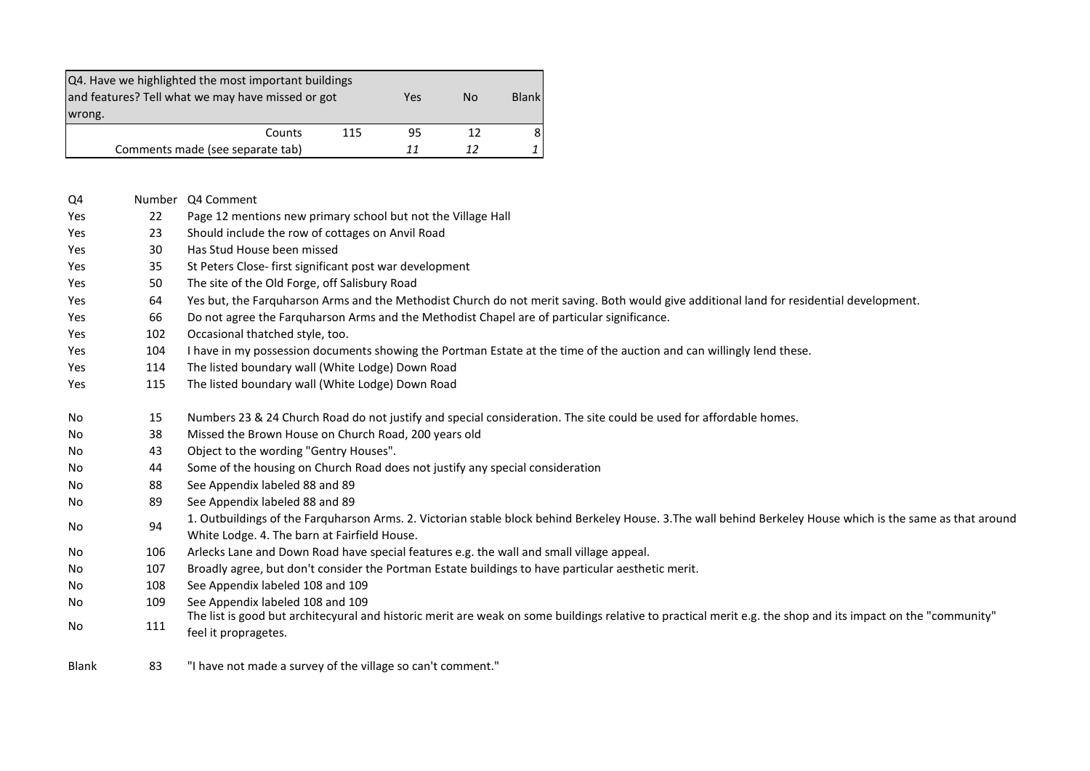| Q4. Have we highlighted the most important buildings<br>and features? Tell what we may have missed or got<br>wrong. |    | Yes | <b>No</b> | <b>Blank</b> |  |  |  |  |
|---------------------------------------------------------------------------------------------------------------------|----|-----|-----------|--------------|--|--|--|--|
| Counts                                                                                                              | 95 | 12  |           |              |  |  |  |  |
| Comments made (see separate tab)<br>11                                                                              |    |     |           |              |  |  |  |  |

| Q4           | Number | Q4 Comment                                                                                                                                                                                                   |
|--------------|--------|--------------------------------------------------------------------------------------------------------------------------------------------------------------------------------------------------------------|
| Yes          | 22     | Page 12 mentions new primary school but not the Village Hall                                                                                                                                                 |
| Yes          | 23     | Should include the row of cottages on Anvil Road                                                                                                                                                             |
| Yes          | 30     | Has Stud House been missed                                                                                                                                                                                   |
| Yes          | 35     | St Peters Close- first significant post war development                                                                                                                                                      |
| <b>Yes</b>   | 50     | The site of the Old Forge, off Salisbury Road                                                                                                                                                                |
| Yes          | 64     | Yes but, the Farquharson Arms and the Methodist Church do not merit saving. Both would give additional land for residential development.                                                                     |
| Yes          | 66     | Do not agree the Farquharson Arms and the Methodist Chapel are of particular significance.                                                                                                                   |
| Yes          | 102    | Occasional thatched style, too.                                                                                                                                                                              |
| Yes          | 104    | I have in my possession documents showing the Portman Estate at the time of the auction and can willingly lend these.                                                                                        |
| Yes          | 114    | The listed boundary wall (White Lodge) Down Road                                                                                                                                                             |
| Yes          | 115    | The listed boundary wall (White Lodge) Down Road                                                                                                                                                             |
| No           | 15     | Numbers 23 & 24 Church Road do not justify and special consideration. The site could be used for affordable homes.                                                                                           |
| No           | 38     | Missed the Brown House on Church Road, 200 years old                                                                                                                                                         |
| No           | 43     | Object to the wording "Gentry Houses".                                                                                                                                                                       |
| No           | 44     | Some of the housing on Church Road does not justify any special consideration                                                                                                                                |
| No           | 88     | See Appendix labeled 88 and 89                                                                                                                                                                               |
| No           | 89     | See Appendix labeled 88 and 89                                                                                                                                                                               |
| No           | 94     | 1. Outbuildings of the Farquharson Arms. 2. Victorian stable block behind Berkeley House. 3. The wall behind Berkeley House which is the same as that around<br>White Lodge. 4. The barn at Fairfield House. |
| No           | 106    | Arlecks Lane and Down Road have special features e.g. the wall and small village appeal.                                                                                                                     |
| No           | 107    | Broadly agree, but don't consider the Portman Estate buildings to have particular aesthetic merit.                                                                                                           |
| No           | 108    | See Appendix labeled 108 and 109                                                                                                                                                                             |
| No           | 109    | See Appendix labeled 108 and 109<br>The list is good but architecyural and historic merit are weak on some buildings relative to practical merit e.g. the shop and its impact on the "community"             |
| No           | 111    | feel it propragetes.                                                                                                                                                                                         |
| <b>Blank</b> | 83     | "I have not made a survey of the village so can't comment."                                                                                                                                                  |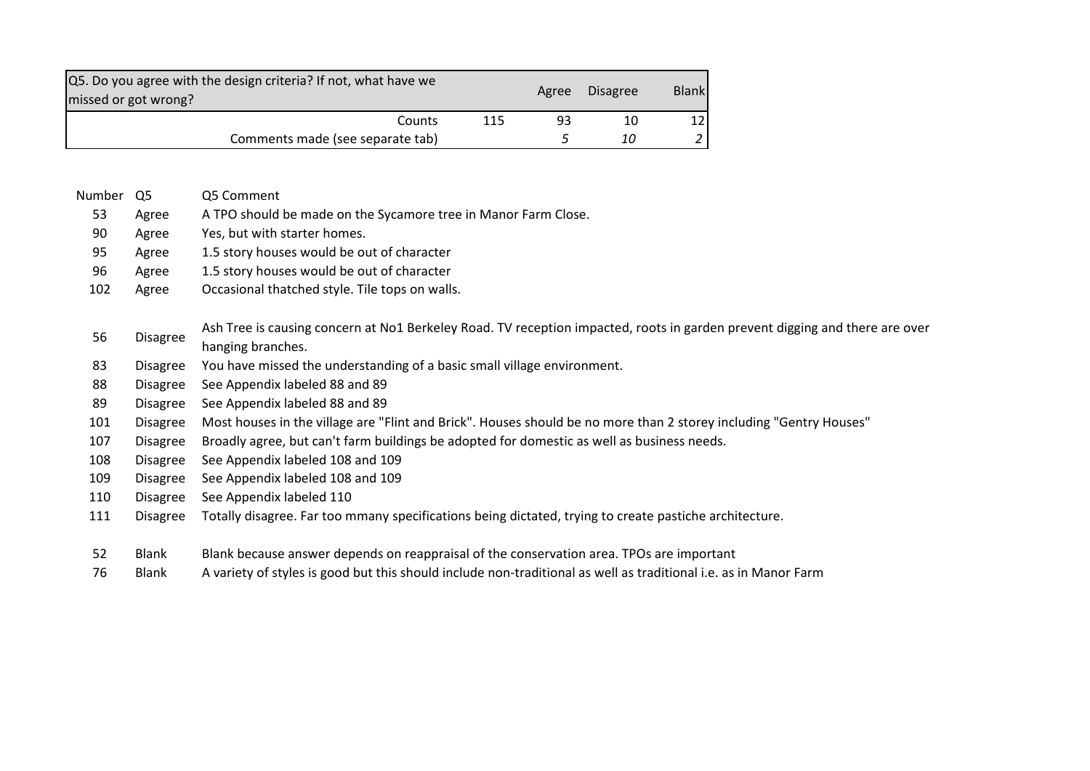| Q5. Do you agree with the design criteria? If not, what have we<br>missed or got wrong? |     |    | Agree Disagree | <b>Blank</b> |
|-----------------------------------------------------------------------------------------|-----|----|----------------|--------------|
| Counts                                                                                  | 115 | 93 | 10             | 12 I         |
| Comments made (see separate tab)                                                        |     |    | 10             |              |

- Number Q5 Q5 Comment
- Agree A TPO should be made on the Sycamore tree in Manor Farm Close.
- Agree Yes, but with starter homes.
- Agree 1.5 story houses would be out of character
- Agree 1.5 story houses would be out of character
- Agree Occasional thatched style. Tile tops on walls.

## Disagree Ash Tree is causing concern at No1 Berkeley Road. TV reception impacted, roots in garden prevent digging and there are over

- hanging branches.
- Disagree You have missed the understanding of a basic small village environment.
- Disagree See Appendix labeled 88 and 89
- Disagree See Appendix labeled 88 and 89
- Disagree Most houses in the village are "Flint and Brick". Houses should be no more than 2 storey including "Gentry Houses"
- Disagree Broadly agree, but can't farm buildings be adopted for domestic as well as business needs.
- Disagree See Appendix labeled 108 and 109
- Disagree See Appendix labeled 108 and 109
- Disagree See Appendix labeled 110
- Disagree Totally disagree. Far too mmany specifications being dictated, trying to create pastiche architecture.
- Blank Blank because answer depends on reappraisal of the conservation area. TPOs are important
- Blank A variety of styles is good but this should include non-traditional as well as traditional i.e. as in Manor Farm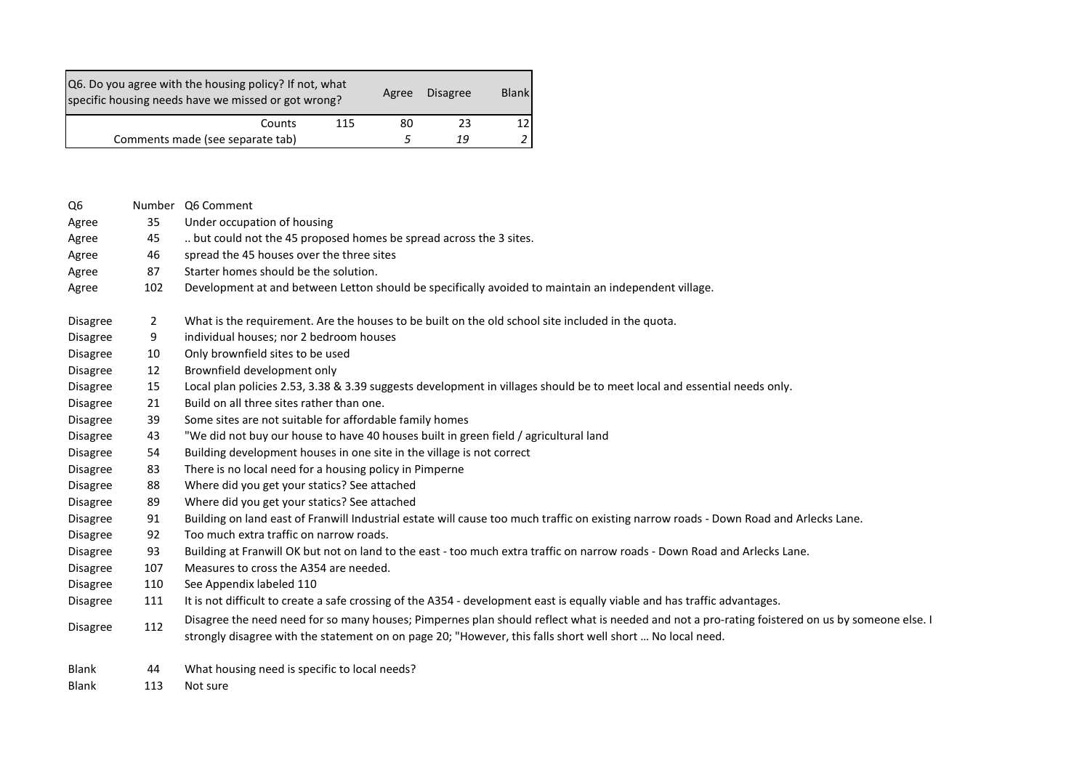|                 |                | Q6. Do you agree with the housing policy? If not, what<br><b>Blank</b><br>Disagree<br>Agree<br>specific housing needs have we missed or got wrong?                                                                                                           |
|-----------------|----------------|--------------------------------------------------------------------------------------------------------------------------------------------------------------------------------------------------------------------------------------------------------------|
|                 |                | 12<br>Counts<br>115<br>80<br>23                                                                                                                                                                                                                              |
|                 |                | 5<br>Comments made (see separate tab)<br>19<br>$\overline{a}$                                                                                                                                                                                                |
|                 |                |                                                                                                                                                                                                                                                              |
| Q6              |                | Number Q6 Comment                                                                                                                                                                                                                                            |
| Agree           | 35             | Under occupation of housing                                                                                                                                                                                                                                  |
| Agree           | 45             | but could not the 45 proposed homes be spread across the 3 sites.                                                                                                                                                                                            |
| Agree           | 46             | spread the 45 houses over the three sites                                                                                                                                                                                                                    |
| Agree           | 87             | Starter homes should be the solution.                                                                                                                                                                                                                        |
| Agree           | 102            | Development at and between Letton should be specifically avoided to maintain an independent village.                                                                                                                                                         |
| <b>Disagree</b> | $\overline{2}$ | What is the requirement. Are the houses to be built on the old school site included in the quota.                                                                                                                                                            |
| Disagree        | 9              | individual houses; nor 2 bedroom houses                                                                                                                                                                                                                      |
| Disagree        | 10             | Only brownfield sites to be used                                                                                                                                                                                                                             |
| <b>Disagree</b> | 12             | Brownfield development only                                                                                                                                                                                                                                  |
| Disagree        | 15             | Local plan policies 2.53, 3.38 & 3.39 suggests development in villages should be to meet local and essential needs only.                                                                                                                                     |
| Disagree        | 21             | Build on all three sites rather than one.                                                                                                                                                                                                                    |
| <b>Disagree</b> | 39             | Some sites are not suitable for affordable family homes                                                                                                                                                                                                      |
| Disagree        | 43             | "We did not buy our house to have 40 houses built in green field / agricultural land                                                                                                                                                                         |
| Disagree        | 54             | Building development houses in one site in the village is not correct                                                                                                                                                                                        |
| <b>Disagree</b> | 83             | There is no local need for a housing policy in Pimperne                                                                                                                                                                                                      |
| Disagree        | 88             | Where did you get your statics? See attached                                                                                                                                                                                                                 |
| Disagree        | 89             | Where did you get your statics? See attached                                                                                                                                                                                                                 |
| Disagree        | 91             | Building on land east of Franwill Industrial estate will cause too much traffic on existing narrow roads - Down Road and Arlecks Lane.                                                                                                                       |
| Disagree        | 92             | Too much extra traffic on narrow roads.                                                                                                                                                                                                                      |
| Disagree        | 93             | Building at Franwill OK but not on land to the east - too much extra traffic on narrow roads - Down Road and Arlecks Lane.                                                                                                                                   |
| Disagree        | 107            | Measures to cross the A354 are needed.                                                                                                                                                                                                                       |
| Disagree        | 110            | See Appendix labeled 110                                                                                                                                                                                                                                     |
| Disagree        | 111            | It is not difficult to create a safe crossing of the A354 - development east is equally viable and has traffic advantages.                                                                                                                                   |
| Disagree        | 112            | Disagree the need need for so many houses; Pimpernes plan should reflect what is needed and not a pro-rating foistered on us by someone else. I<br>strongly disagree with the statement on on page 20; "However, this falls short well short  No local need. |
| Blank           | 44             | What housing need is specific to local needs?                                                                                                                                                                                                                |
| Blank           | 113            | Not sure                                                                                                                                                                                                                                                     |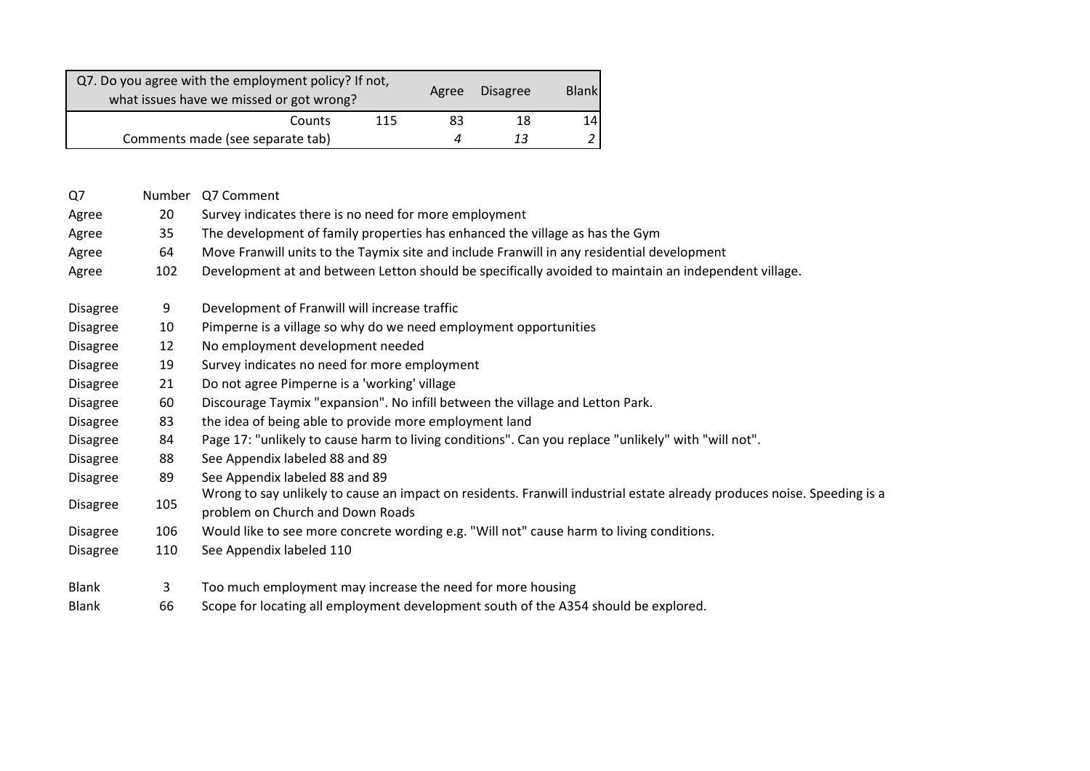|                 |     | Q7. Do you agree with the employment policy? If not,                                       |     |       | <b>Disagree</b> | <b>Blank</b>   |                                                                                                                         |
|-----------------|-----|--------------------------------------------------------------------------------------------|-----|-------|-----------------|----------------|-------------------------------------------------------------------------------------------------------------------------|
|                 |     | what issues have we missed or got wrong?                                                   |     | Agree |                 |                |                                                                                                                         |
|                 |     | Counts                                                                                     | 115 | 83    | 18              | 14             |                                                                                                                         |
|                 |     | Comments made (see separate tab)                                                           |     | 4     | 13              | $\overline{a}$ |                                                                                                                         |
|                 |     |                                                                                            |     |       |                 |                |                                                                                                                         |
| Q7              |     | Number Q7 Comment                                                                          |     |       |                 |                |                                                                                                                         |
|                 |     |                                                                                            |     |       |                 |                |                                                                                                                         |
| Agree           | 20  | Survey indicates there is no need for more employment                                      |     |       |                 |                |                                                                                                                         |
| Agree           | 35  | The development of family properties has enhanced the village as has the Gym               |     |       |                 |                |                                                                                                                         |
| Agree           | 64  | Move Franwill units to the Taymix site and include Franwill in any residential development |     |       |                 |                |                                                                                                                         |
| Agree           | 102 |                                                                                            |     |       |                 |                | Development at and between Letton should be specifically avoided to maintain an independent village.                    |
| <b>Disagree</b> | 9   | Development of Franwill will increase traffic                                              |     |       |                 |                |                                                                                                                         |
| <b>Disagree</b> | 10  | Pimperne is a village so why do we need employment opportunities                           |     |       |                 |                |                                                                                                                         |
| <b>Disagree</b> | 12  | No employment development needed                                                           |     |       |                 |                |                                                                                                                         |
| <b>Disagree</b> | 19  | Survey indicates no need for more employment                                               |     |       |                 |                |                                                                                                                         |
| <b>Disagree</b> | 21  | Do not agree Pimperne is a 'working' village                                               |     |       |                 |                |                                                                                                                         |
| <b>Disagree</b> | 60  | Discourage Taymix "expansion". No infill between the village and Letton Park.              |     |       |                 |                |                                                                                                                         |
| <b>Disagree</b> | 83  | the idea of being able to provide more employment land                                     |     |       |                 |                |                                                                                                                         |
| <b>Disagree</b> | 84  |                                                                                            |     |       |                 |                | Page 17: "unlikely to cause harm to living conditions". Can you replace "unlikely" with "will not".                     |
| <b>Disagree</b> | 88  | See Appendix labeled 88 and 89                                                             |     |       |                 |                |                                                                                                                         |
| <b>Disagree</b> | 89  | See Appendix labeled 88 and 89                                                             |     |       |                 |                |                                                                                                                         |
| <b>Disagree</b> | 105 | problem on Church and Down Roads                                                           |     |       |                 |                | Wrong to say unlikely to cause an impact on residents. Franwill industrial estate already produces noise. Speeding is a |
| <b>Disagree</b> | 106 | Would like to see more concrete wording e.g. "Will not" cause harm to living conditions.   |     |       |                 |                |                                                                                                                         |
| <b>Disagree</b> | 110 | See Appendix labeled 110                                                                   |     |       |                 |                |                                                                                                                         |
| <b>Blank</b>    | 3   | Too much employment may increase the need for more housing                                 |     |       |                 |                |                                                                                                                         |
|                 |     |                                                                                            |     |       |                 |                |                                                                                                                         |

Blank 66 Scope for locating all employment development south of the A354 should be explored.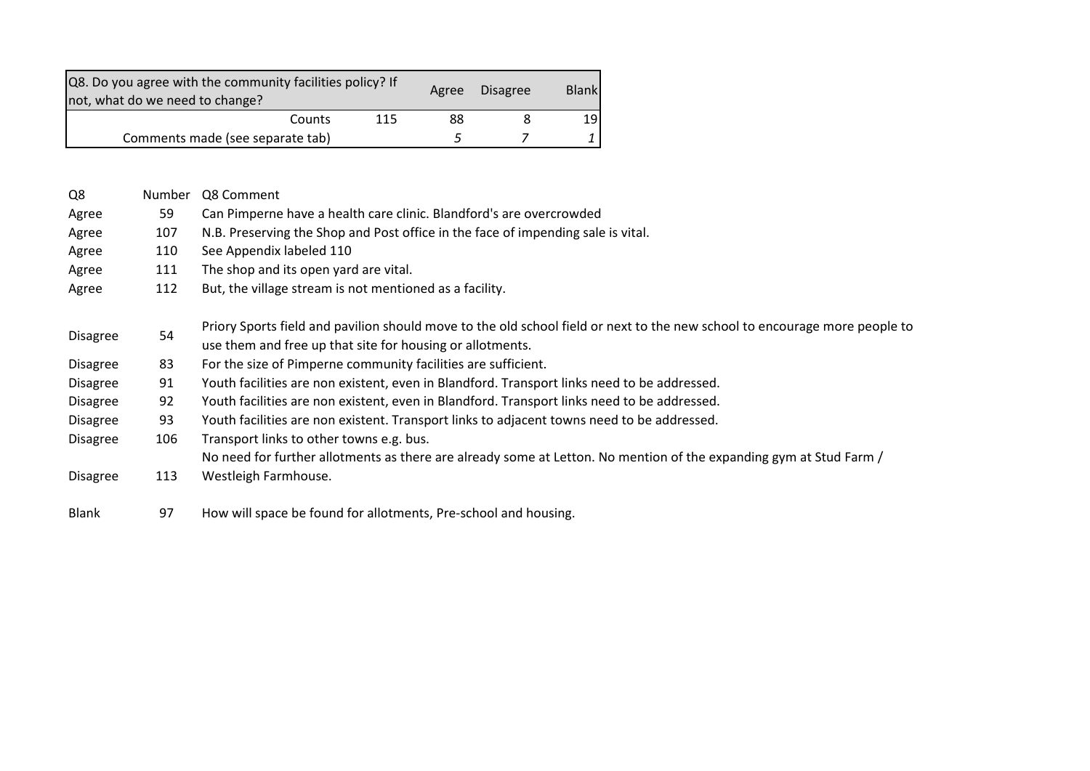| Q8. Do you agree with the community facilities policy? If<br>not, what do we need to change? |        |                                                                                             |     | Agree | <b>Disagree</b> | <b>Blank</b> |                                                                                                                            |
|----------------------------------------------------------------------------------------------|--------|---------------------------------------------------------------------------------------------|-----|-------|-----------------|--------------|----------------------------------------------------------------------------------------------------------------------------|
|                                                                                              |        | Counts                                                                                      | 115 | 88    | 8               | 19           |                                                                                                                            |
|                                                                                              |        | Comments made (see separate tab)                                                            |     | 5     | 7               | 1            |                                                                                                                            |
|                                                                                              |        |                                                                                             |     |       |                 |              |                                                                                                                            |
| Q8                                                                                           | Number | Q8 Comment                                                                                  |     |       |                 |              |                                                                                                                            |
| Agree                                                                                        | 59     | Can Pimperne have a health care clinic. Blandford's are overcrowded                         |     |       |                 |              |                                                                                                                            |
| Agree                                                                                        | 107    | N.B. Preserving the Shop and Post office in the face of impending sale is vital.            |     |       |                 |              |                                                                                                                            |
| Agree                                                                                        | 110    | See Appendix labeled 110                                                                    |     |       |                 |              |                                                                                                                            |
| Agree                                                                                        | 111    | The shop and its open yard are vital.                                                       |     |       |                 |              |                                                                                                                            |
| Agree                                                                                        | 112    | But, the village stream is not mentioned as a facility.                                     |     |       |                 |              |                                                                                                                            |
| <b>Disagree</b>                                                                              | 54     | use them and free up that site for housing or allotments.                                   |     |       |                 |              | Priory Sports field and pavilion should move to the old school field or next to the new school to encourage more people to |
| Disagree                                                                                     | 83     | For the size of Pimperne community facilities are sufficient.                               |     |       |                 |              |                                                                                                                            |
| Disagree                                                                                     | 91     | Youth facilities are non existent, even in Blandford. Transport links need to be addressed. |     |       |                 |              |                                                                                                                            |
| <b>Disagree</b>                                                                              | 92     | Youth facilities are non existent, even in Blandford. Transport links need to be addressed. |     |       |                 |              |                                                                                                                            |
| <b>Disagree</b>                                                                              | 93     | Youth facilities are non existent. Transport links to adjacent towns need to be addressed.  |     |       |                 |              |                                                                                                                            |
| <b>Disagree</b>                                                                              | 106    | Transport links to other towns e.g. bus.                                                    |     |       |                 |              |                                                                                                                            |
|                                                                                              |        |                                                                                             |     |       |                 |              | No need for further allotments as there are already some at Letton. No mention of the expanding gym at Stud Farm /         |
| <b>Disagree</b>                                                                              | 113    | Westleigh Farmhouse.                                                                        |     |       |                 |              |                                                                                                                            |
| Blank                                                                                        | 97     | How will space be found for allotments, Pre-school and housing.                             |     |       |                 |              |                                                                                                                            |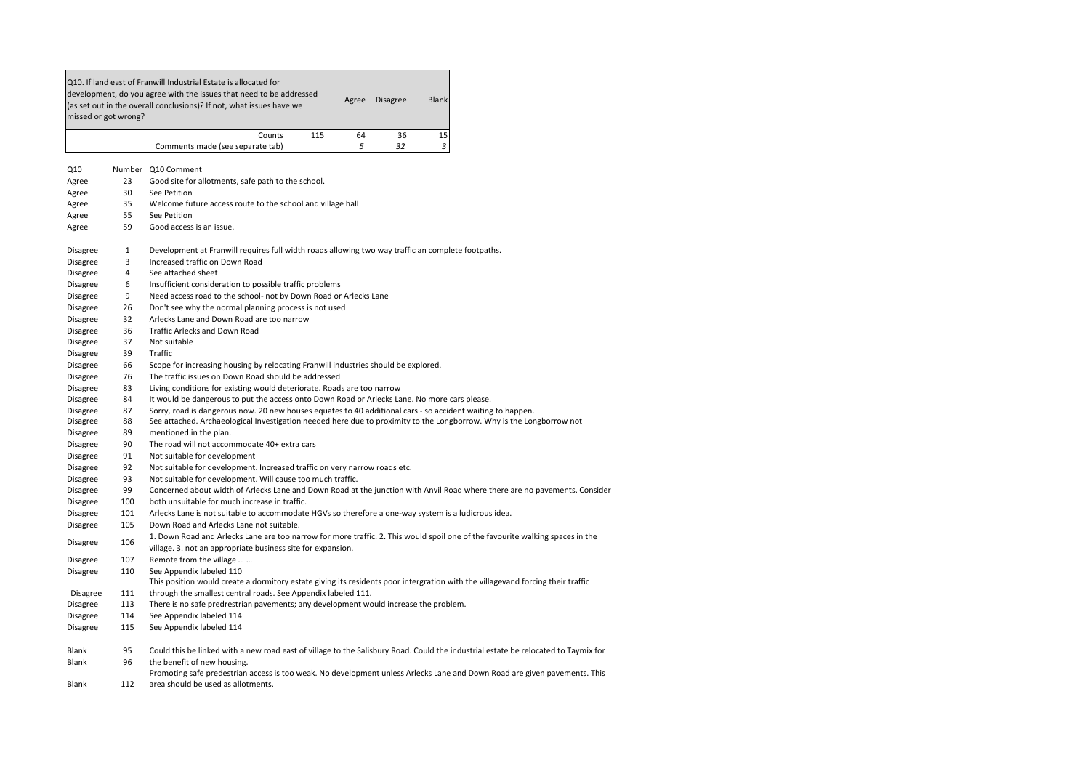|                 | missed or got wrong? | development, do you agree with the issues that need to be addressed<br><b>Disagree</b><br><b>Blank</b><br>Agree<br>(as set out in the overall conclusions)? If not, what issues have we |
|-----------------|----------------------|-----------------------------------------------------------------------------------------------------------------------------------------------------------------------------------------|
|                 |                      | 115<br>64<br>36<br>15<br>Counts                                                                                                                                                         |
|                 |                      | 5<br>32<br>3<br>Comments made (see separate tab)                                                                                                                                        |
| Q10             |                      | Number Q10 Comment                                                                                                                                                                      |
| Agree           | 23                   | Good site for allotments, safe path to the school.                                                                                                                                      |
| Agree           | 30                   | See Petition                                                                                                                                                                            |
| Agree           | 35                   | Welcome future access route to the school and village hall                                                                                                                              |
| Agree           | 55                   | See Petition                                                                                                                                                                            |
| Agree           | 59                   | Good access is an issue.                                                                                                                                                                |
| Disagree        | $\mathbf{1}$         | Development at Franwill requires full width roads allowing two way traffic an complete footpaths.                                                                                       |
| Disagree        | 3                    | Increased traffic on Down Road                                                                                                                                                          |
| Disagree        | $\overline{4}$       | See attached sheet                                                                                                                                                                      |
| <b>Disagree</b> | 6                    | Insufficient consideration to possible traffic problems                                                                                                                                 |
| <b>Disagree</b> | 9                    | Need access road to the school- not by Down Road or Arlecks Lane                                                                                                                        |
| Disagree        | 26                   | Don't see why the normal planning process is not used                                                                                                                                   |
| Disagree        | 32                   | Arlecks Lane and Down Road are too narrow                                                                                                                                               |
| Disagree        | 36                   | Traffic Arlecks and Down Road                                                                                                                                                           |
| Disagree        | 37                   | Not suitable                                                                                                                                                                            |
| Disagree        | 39                   | Traffic                                                                                                                                                                                 |
| Disagree        | 66                   | Scope for increasing housing by relocating Franwill industries should be explored.                                                                                                      |
| Disagree        | 76                   | The traffic issues on Down Road should be addressed                                                                                                                                     |
| <b>Disagree</b> | 83                   | Living conditions for existing would deteriorate. Roads are too narrow                                                                                                                  |
| Disagree        | 84                   | It would be dangerous to put the access onto Down Road or Arlecks Lane. No more cars please.                                                                                            |
| <b>Disagree</b> | 87                   | Sorry, road is dangerous now. 20 new houses equates to 40 additional cars - so accident waiting to happen.                                                                              |
| Disagree        | 88                   | See attached. Archaeological Investigation needed here due to proximity to the Longborrow. Why is the Longborrow not                                                                    |
| Disagree        | 89                   | mentioned in the plan.                                                                                                                                                                  |
| Disagree        | 90                   | The road will not accommodate 40+ extra cars                                                                                                                                            |
| <b>Disagree</b> | 91                   | Not suitable for development                                                                                                                                                            |
| Disagree        | 92                   | Not suitable for development. Increased traffic on very narrow roads etc.                                                                                                               |
| Disagree        | 93                   | Not suitable for development. Will cause too much traffic.                                                                                                                              |
| Disagree        | 99                   | Concerned about width of Arlecks Lane and Down Road at the junction with Anvil Road where there are no pavements. Consider                                                              |
| Disagree        | 100                  | both unsuitable for much increase in traffic.                                                                                                                                           |
| Disagree        | 101                  | Arlecks Lane is not suitable to accommodate HGVs so therefore a one-way system is a ludicrous idea.                                                                                     |
| Disagree        | 105                  | Down Road and Arlecks Lane not suitable.                                                                                                                                                |
| Disagree        | 106                  | 1. Down Road and Arlecks Lane are too narrow for more traffic. 2. This would spoil one of the favourite walking spaces in the                                                           |
| Disagree        | 107                  | village. 3. not an appropriate business site for expansion.<br>Remote from the village                                                                                                  |
| Disagree        | 110                  | See Appendix labeled 110                                                                                                                                                                |
|                 |                      | This position would create a dormitory estate giving its residents poor intergration with the villagevand forcing their traffic                                                         |
| <b>Disagree</b> | 111                  | through the smallest central roads. See Appendix labeled 111.                                                                                                                           |
| <b>Disagree</b> | 113                  | There is no safe predrestrian pavements; any development would increase the problem.                                                                                                    |
| Disagree        | 114                  | See Appendix labeled 114                                                                                                                                                                |
| Disagree        | 115                  | See Appendix labeled 114                                                                                                                                                                |
| Blank           | 95                   | Could this be linked with a new road east of village to the Salisbury Road. Could the industrial estate be relocated to Taymix for                                                      |
| <b>Blank</b>    | 96                   | the benefit of new housing.                                                                                                                                                             |
|                 |                      | Promoting safe predestrian access is too weak. No development unless Arlecks Lane and Down Road are given pavements. This                                                               |
| Blank           | 112                  | area should be used as allotments.                                                                                                                                                      |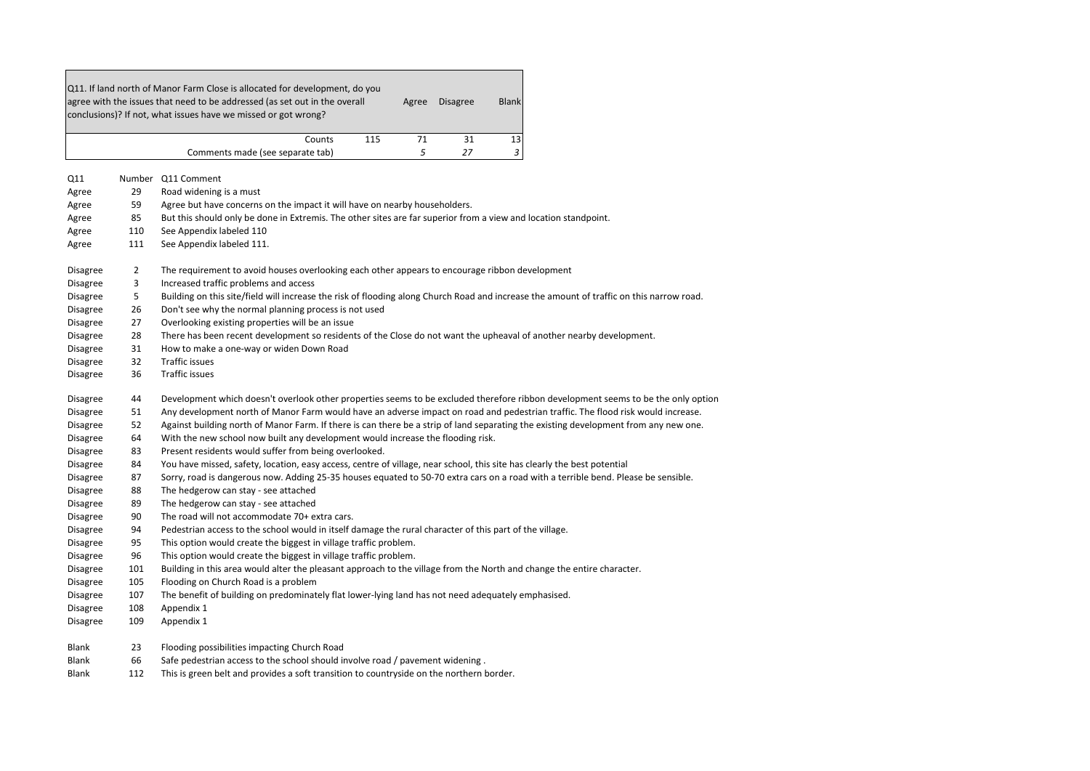|                 |                | Q11. If land north of Manor Farm Close is allocated for development, do you<br>agree with the issues that need to be addressed (as set out in the overall<br>Agree<br>Disagree<br><b>Blank</b><br>conclusions)? If not, what issues have we missed or got wrong? |  |  |  |  |  |
|-----------------|----------------|------------------------------------------------------------------------------------------------------------------------------------------------------------------------------------------------------------------------------------------------------------------|--|--|--|--|--|
|                 |                | 115<br>71<br>31<br>13<br>Counts                                                                                                                                                                                                                                  |  |  |  |  |  |
|                 |                | 5<br>3<br>27<br>Comments made (see separate tab)                                                                                                                                                                                                                 |  |  |  |  |  |
| Q11             |                | Number Q11 Comment                                                                                                                                                                                                                                               |  |  |  |  |  |
| Agree           | 29             | Road widening is a must                                                                                                                                                                                                                                          |  |  |  |  |  |
| Agree           | 59             | Agree but have concerns on the impact it will have on nearby householders.                                                                                                                                                                                       |  |  |  |  |  |
| Agree           | 85             | But this should only be done in Extremis. The other sites are far superior from a view and location standpoint.                                                                                                                                                  |  |  |  |  |  |
| Agree           | 110            | See Appendix labeled 110                                                                                                                                                                                                                                         |  |  |  |  |  |
| Agree           | 111            | See Appendix labeled 111.                                                                                                                                                                                                                                        |  |  |  |  |  |
| <b>Disagree</b> | $\overline{2}$ | The requirement to avoid houses overlooking each other appears to encourage ribbon development                                                                                                                                                                   |  |  |  |  |  |
| <b>Disagree</b> | 3              | Increased traffic problems and access                                                                                                                                                                                                                            |  |  |  |  |  |
| Disagree        | 5              | Building on this site/field will increase the risk of flooding along Church Road and increase the amount of traffic on this narrow road.                                                                                                                         |  |  |  |  |  |
| <b>Disagree</b> | 26             | Don't see why the normal planning process is not used                                                                                                                                                                                                            |  |  |  |  |  |
| <b>Disagree</b> | 27             | Overlooking existing properties will be an issue                                                                                                                                                                                                                 |  |  |  |  |  |
| <b>Disagree</b> | 28             | There has been recent development so residents of the Close do not want the upheaval of another nearby development.                                                                                                                                              |  |  |  |  |  |
| <b>Disagree</b> | 31             | How to make a one-way or widen Down Road                                                                                                                                                                                                                         |  |  |  |  |  |
| <b>Disagree</b> | 32             | <b>Traffic issues</b>                                                                                                                                                                                                                                            |  |  |  |  |  |
| <b>Disagree</b> | 36             | Traffic issues                                                                                                                                                                                                                                                   |  |  |  |  |  |
| <b>Disagree</b> | 44             | Development which doesn't overlook other properties seems to be excluded therefore ribbon development seems to be the only option                                                                                                                                |  |  |  |  |  |
| Disagree        | 51             | Any development north of Manor Farm would have an adverse impact on road and pedestrian traffic. The flood risk would increase.                                                                                                                                  |  |  |  |  |  |
| Disagree        | 52             | Against building north of Manor Farm. If there is can there be a strip of land separating the existing development from any new one.                                                                                                                             |  |  |  |  |  |
| Disagree        | 64             | With the new school now built any development would increase the flooding risk.                                                                                                                                                                                  |  |  |  |  |  |
| <b>Disagree</b> | 83             | Present residents would suffer from being overlooked.                                                                                                                                                                                                            |  |  |  |  |  |
| <b>Disagree</b> | 84             | You have missed, safety, location, easy access, centre of village, near school, this site has clearly the best potential                                                                                                                                         |  |  |  |  |  |
| Disagree        | 87             | Sorry, road is dangerous now. Adding 25-35 houses equated to 50-70 extra cars on a road with a terrible bend. Please be sensible.                                                                                                                                |  |  |  |  |  |
| <b>Disagree</b> | 88             | The hedgerow can stay - see attached                                                                                                                                                                                                                             |  |  |  |  |  |
| <b>Disagree</b> | 89             | The hedgerow can stay - see attached                                                                                                                                                                                                                             |  |  |  |  |  |
| Disagree        | 90             | The road will not accommodate 70+ extra cars.                                                                                                                                                                                                                    |  |  |  |  |  |
| Disagree        | 94             | Pedestrian access to the school would in itself damage the rural character of this part of the village.                                                                                                                                                          |  |  |  |  |  |
| <b>Disagree</b> | 95             | This option would create the biggest in village traffic problem.                                                                                                                                                                                                 |  |  |  |  |  |
| <b>Disagree</b> | 96             | This option would create the biggest in village traffic problem.                                                                                                                                                                                                 |  |  |  |  |  |
| Disagree        | 101            | Building in this area would alter the pleasant approach to the village from the North and change the entire character.                                                                                                                                           |  |  |  |  |  |
| Disagree        | 105            | Flooding on Church Road is a problem                                                                                                                                                                                                                             |  |  |  |  |  |
| <b>Disagree</b> | 107            | The benefit of building on predominately flat lower-lying land has not need adequately emphasised.                                                                                                                                                               |  |  |  |  |  |
| <b>Disagree</b> | 108            | Appendix 1                                                                                                                                                                                                                                                       |  |  |  |  |  |
| Disagree        | 109            | Appendix 1                                                                                                                                                                                                                                                       |  |  |  |  |  |
| <b>Blank</b>    | 23             | Flooding possibilities impacting Church Road                                                                                                                                                                                                                     |  |  |  |  |  |
| Blank           | 66             | Safe pedestrian access to the school should involve road / pavement widening.                                                                                                                                                                                    |  |  |  |  |  |
| Blank           | 112            | This is green belt and provides a soft transition to countryside on the northern border.                                                                                                                                                                         |  |  |  |  |  |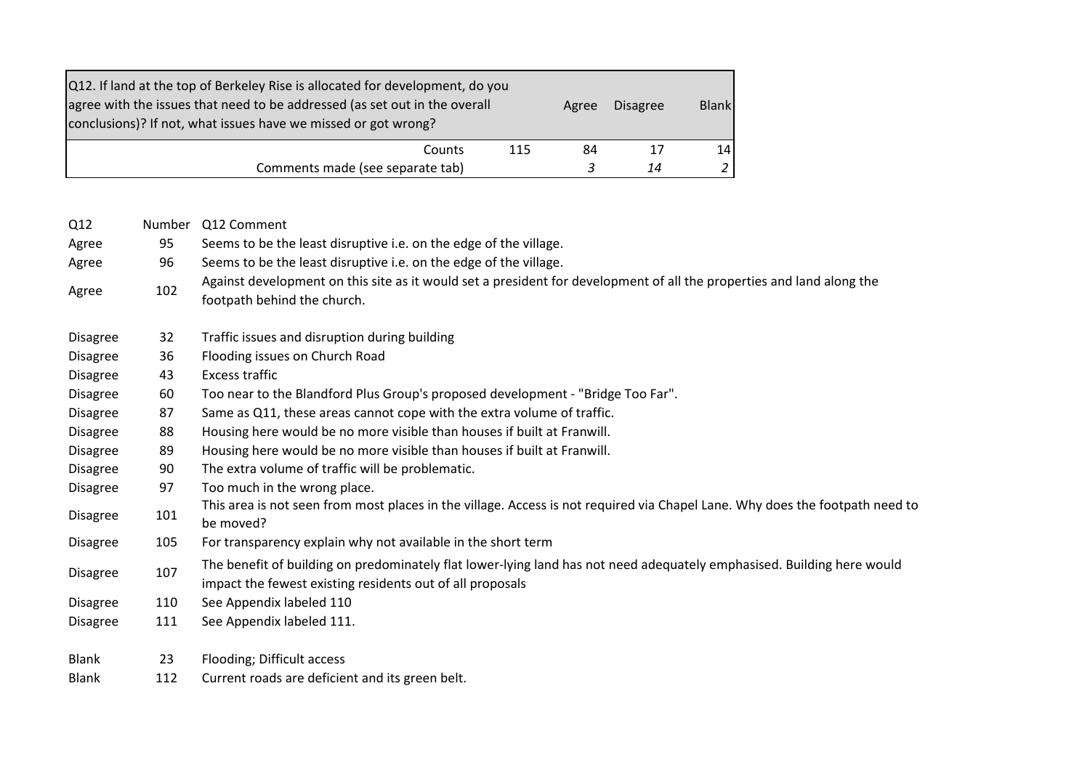| Q12. If land at the top of Berkeley Rise is allocated for development, do you<br>agree with the issues that need to be addressed (as set out in the overall<br>conclusions)? If not, what issues have we missed or got wrong? |     | Agree | <b>Disagree</b> | <b>Blank</b> |
|-------------------------------------------------------------------------------------------------------------------------------------------------------------------------------------------------------------------------------|-----|-------|-----------------|--------------|
| Counts                                                                                                                                                                                                                        | 115 | 84    |                 | 14           |
| Comments made (see separate tab)                                                                                                                                                                                              |     |       | 14              |              |

| Q12             | <b>Number</b> | Q12 Comment                                                                                                                                                                         |
|-----------------|---------------|-------------------------------------------------------------------------------------------------------------------------------------------------------------------------------------|
| Agree           | 95            | Seems to be the least disruptive i.e. on the edge of the village.                                                                                                                   |
| Agree           | 96            | Seems to be the least disruptive i.e. on the edge of the village.                                                                                                                   |
| Agree           | 102           | Against development on this site as it would set a president for development of all the properties and land along the<br>footpath behind the church.                                |
| <b>Disagree</b> | 32            | Traffic issues and disruption during building                                                                                                                                       |
| <b>Disagree</b> | 36            | Flooding issues on Church Road                                                                                                                                                      |
| <b>Disagree</b> | 43            | <b>Excess traffic</b>                                                                                                                                                               |
| <b>Disagree</b> | 60            | Too near to the Blandford Plus Group's proposed development - "Bridge Too Far".                                                                                                     |
| <b>Disagree</b> | 87            | Same as Q11, these areas cannot cope with the extra volume of traffic.                                                                                                              |
| <b>Disagree</b> | 88            | Housing here would be no more visible than houses if built at Franwill.                                                                                                             |
| <b>Disagree</b> | 89            | Housing here would be no more visible than houses if built at Franwill.                                                                                                             |
| <b>Disagree</b> | 90            | The extra volume of traffic will be problematic.                                                                                                                                    |
| <b>Disagree</b> | 97            | Too much in the wrong place.                                                                                                                                                        |
| <b>Disagree</b> | 101           | This area is not seen from most places in the village. Access is not required via Chapel Lane. Why does the footpath need to<br>be moved?                                           |
| <b>Disagree</b> | 105           | For transparency explain why not available in the short term                                                                                                                        |
| <b>Disagree</b> | 107           | The benefit of building on predominately flat lower-lying land has not need adequately emphasised. Building here would<br>impact the fewest existing residents out of all proposals |
| <b>Disagree</b> | 110           | See Appendix labeled 110                                                                                                                                                            |
| <b>Disagree</b> | 111           | See Appendix labeled 111.                                                                                                                                                           |
| <b>Blank</b>    | 23            | Flooding; Difficult access                                                                                                                                                          |
| <b>Blank</b>    | 112           | Current roads are deficient and its green belt.                                                                                                                                     |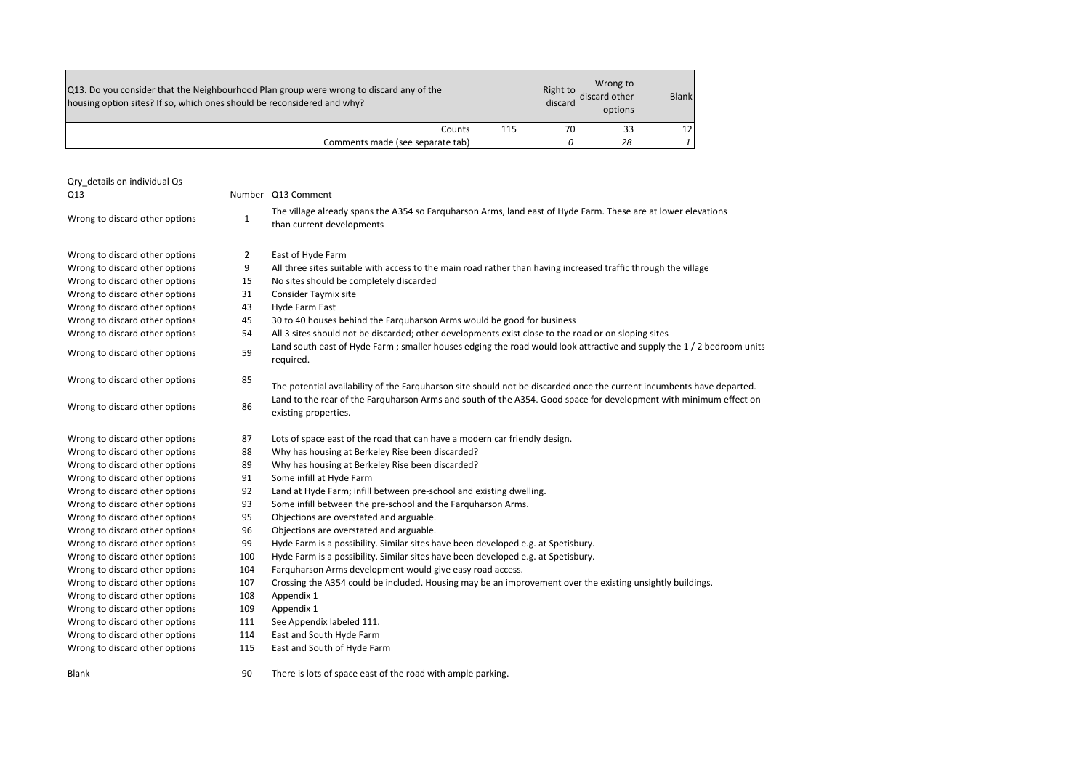| Q13. Do you consider that the Neighbourhood Plan group were wrong to discard any of the<br>housing option sites? If so, which ones should be reconsidered and why? |     | Right to<br>discard | Wrong to<br>discard other<br>options | <b>Blank</b> |
|--------------------------------------------------------------------------------------------------------------------------------------------------------------------|-----|---------------------|--------------------------------------|--------------|
| Counts                                                                                                                                                             | 115 | 70                  | 33                                   | 12.          |
| Comments made (see separate tab)                                                                                                                                   |     |                     | 28                                   |              |

| Qry details on individual Qs<br>Q13 |              | Number Q13 Comment                                                                                                                         |
|-------------------------------------|--------------|--------------------------------------------------------------------------------------------------------------------------------------------|
| Wrong to discard other options      | $\mathbf{1}$ | The village already spans the A354 so Farguharson Arms, land east of Hyde Farm. These are at lower elevations<br>than current developments |
| Wrong to discard other options      | 2            | East of Hyde Farm                                                                                                                          |
| Wrong to discard other options      | 9            | All three sites suitable with access to the main road rather than having increased traffic through the village                             |
| Wrong to discard other options      | 15           | No sites should be completely discarded                                                                                                    |
| Wrong to discard other options      | 31           | Consider Taymix site                                                                                                                       |
| Wrong to discard other options      | 43           | Hyde Farm East                                                                                                                             |
| Wrong to discard other options      | 45           | 30 to 40 houses behind the Farguharson Arms would be good for business                                                                     |
| Wrong to discard other options      | 54           | All 3 sites should not be discarded; other developments exist close to the road or on sloping sites                                        |
| Wrong to discard other options      | 59           | Land south east of Hyde Farm; smaller houses edging the road would look attractive and supply the 1/2 bedroom units<br>required.           |
| Wrong to discard other options      | 85           | The potential availability of the Farguharson site should not be discarded once the current incumbents have departed.                      |
| Wrong to discard other options      | 86           | Land to the rear of the Farguharson Arms and south of the A354. Good space for development with minimum effect on<br>existing properties.  |
| Wrong to discard other options      | 87           | Lots of space east of the road that can have a modern car friendly design.                                                                 |
| Wrong to discard other options      | 88           | Why has housing at Berkeley Rise been discarded?                                                                                           |
| Wrong to discard other options      | 89           | Why has housing at Berkeley Rise been discarded?                                                                                           |
| Wrong to discard other options      | 91           | Some infill at Hyde Farm                                                                                                                   |
| Wrong to discard other options      | 92           | Land at Hyde Farm; infill between pre-school and existing dwelling.                                                                        |
| Wrong to discard other options      | 93           | Some infill between the pre-school and the Farguharson Arms.                                                                               |
| Wrong to discard other options      | 95           | Objections are overstated and arguable.                                                                                                    |
| Wrong to discard other options      | 96           | Objections are overstated and arguable.                                                                                                    |
| Wrong to discard other options      | 99           | Hyde Farm is a possibility. Similar sites have been developed e.g. at Spetisbury.                                                          |
| Wrong to discard other options      | 100          | Hyde Farm is a possibility. Similar sites have been developed e.g. at Spetisbury.                                                          |
| Wrong to discard other options      | 104          | Farquharson Arms development would give easy road access.                                                                                  |
| Wrong to discard other options      | 107          | Crossing the A354 could be included. Housing may be an improvement over the existing unsightly buildings.                                  |
| Wrong to discard other options      | 108          | Appendix 1                                                                                                                                 |
| Wrong to discard other options      | 109          | Appendix 1                                                                                                                                 |
| Wrong to discard other options      | 111          | See Appendix labeled 111.                                                                                                                  |
| Wrong to discard other options      | 114          | East and South Hyde Farm                                                                                                                   |
| Wrong to discard other options      | 115          | East and South of Hyde Farm                                                                                                                |
| <b>Blank</b>                        | 90           | There is lots of space east of the road with ample parking.                                                                                |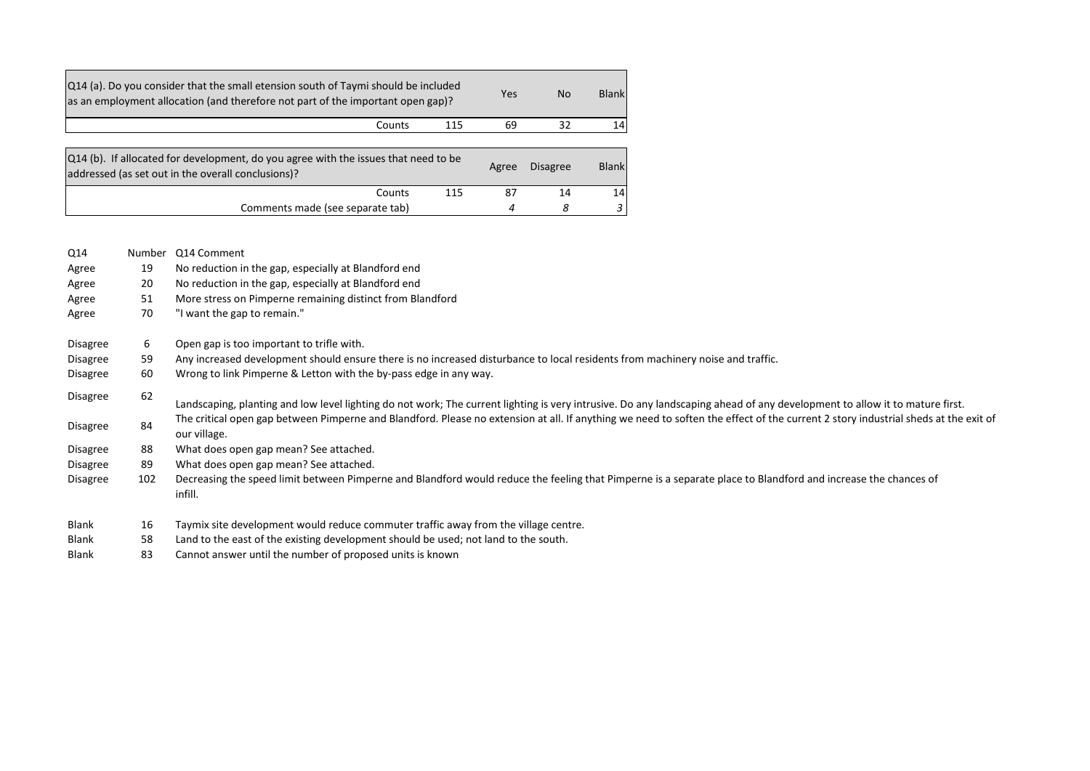| [Q14 (a). Do you consider that the small etension south of Taymi should be included<br>as an employment allocation (and therefore not part of the important open gap)? |        | Yes | N <sub>o</sub> | <b>Blank</b>    |                 |
|------------------------------------------------------------------------------------------------------------------------------------------------------------------------|--------|-----|----------------|-----------------|-----------------|
|                                                                                                                                                                        | Counts | 115 | 69             | 32              | 14 <sup>1</sup> |
|                                                                                                                                                                        |        |     |                |                 |                 |
| [Q14 (b). If allocated for development, do you agree with the issues that need to be<br>addressed (as set out in the overall conclusions)?                             |        |     | Agree          | <b>Disagree</b> | <b>Blank</b>    |
|                                                                                                                                                                        | Counts | 115 | 87             | 14              | 14              |
| Comments made (see separate tab)                                                                                                                                       |        |     | 4              | 8               | 3               |

| Number | Q14 Comment                                                                                                                                                                                       |
|--------|---------------------------------------------------------------------------------------------------------------------------------------------------------------------------------------------------|
| 19     | No reduction in the gap, especially at Blandford end                                                                                                                                              |
| 20     | No reduction in the gap, especially at Blandford end                                                                                                                                              |
| 51     | More stress on Pimperne remaining distinct from Blandford                                                                                                                                         |
| 70     | "I want the gap to remain."                                                                                                                                                                       |
|        | Open gap is too important to trifle with.                                                                                                                                                         |
| 59     | Any increased development should ensure there is no increased disturbance to local residents from machinery noise and traffic.                                                                    |
| 60     | Wrong to link Pimperne & Letton with the by-pass edge in any way.                                                                                                                                 |
| 62     | Landscaping, planting and low level lighting do not work; The current lighting is very intrusive. Do any landscaping ahead of any development to allow it to mature first.                        |
| 84     | The critical open gap between Pimperne and Blandford. Please no extension at all. If anything we need to soften the effect of the current 2 story industrial sheds at the exit of<br>our village. |
| 88     | What does open gap mean? See attached.                                                                                                                                                            |
| 89     | What does open gap mean? See attached.                                                                                                                                                            |
| 102    | Decreasing the speed limit between Pimperne and Blandford would reduce the feeling that Pimperne is a separate place to Blandford and increase the chances of<br>infill.                          |
| 16     | Taymix site development would reduce commuter traffic away from the village centre.                                                                                                               |
| 58     | Land to the east of the existing development should be used; not land to the south.                                                                                                               |
| 83     | Cannot answer until the number of proposed units is known                                                                                                                                         |
|        | 6                                                                                                                                                                                                 |